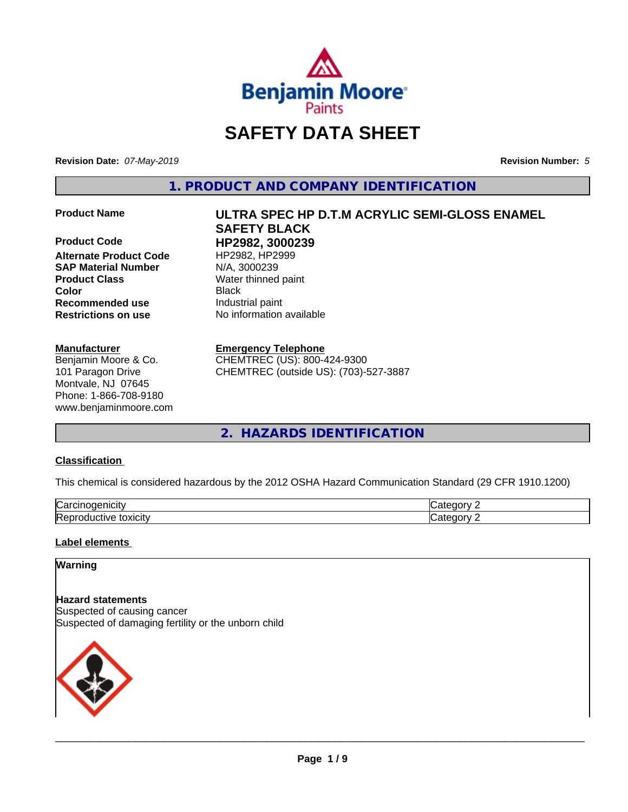

# **SAFETY DATA SHEET**

**Revision Date:** *07-May-2019* **Revision Number:** *5*

**1. PRODUCT AND COMPANY IDENTIFICATION**

**Product Code HP2982, 3000239**<br> **Alternate Product Code** HP2982, HP2999 **Alternate Product Code SAP Material Number** N/A, 3000239 **Product Class** Water thinned paint **Recommended use Industrial paint Restrictions on use** No information available

#### **Manufacturer**

Benjamin Moore & Co. 101 Paragon Drive Montvale, NJ 07645 Phone: 1-866-708-9180 www.benjaminmoore.com

# **Product Name ULTRA SPEC HP D.T.M ACRYLIC SEMI-GLOSS ENAMEL SAFETY BLACK Color** Black

#### **Emergency Telephone**

CHEMTREC (US): 800-424-9300 CHEMTREC (outside US): (703)-527-3887

**2. HAZARDS IDENTIFICATION**

#### **Classification**

This chemical is considered hazardous by the 2012 OSHA Hazard Communication Standard (29 CFR 1910.1200)

| $\sim$<br>.<br>ш<br>ιUα                                                       |     |
|-------------------------------------------------------------------------------|-----|
| חו<br>$+2112121$<br>$- - -$<br>-<br>ıνe<br>. .<br>т. ⊢<br><b>UAIGILY</b><br>. | --- |

#### **Label elements**

#### **Warning**

**Hazard statements** Suspected of causing cancer Suspected of damaging fertility or the unborn child

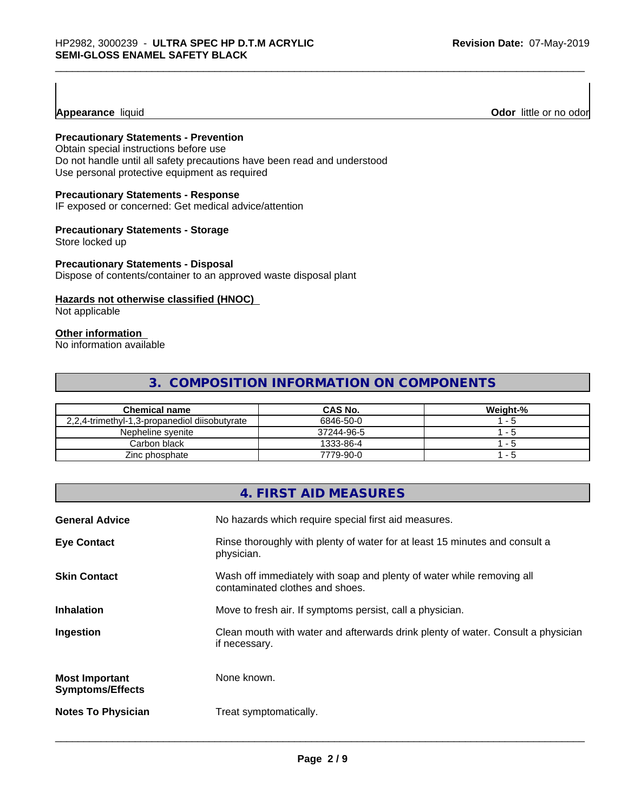#### **Appearance** liquid

#### **Precautionary Statements - Prevention**

Obtain special instructions before use Do not handle until all safety precautions have been read and understood Use personal protective equipment as required

#### **Precautionary Statements - Response**

IF exposed or concerned: Get medical advice/attention

#### **Precautionary Statements - Storage**

Store locked up

#### **Precautionary Statements - Disposal**

Dispose of contents/container to an approved waste disposal plant

#### **Hazards not otherwise classified (HNOC)**

Not applicable

#### **Other information**

No information available

#### **3. COMPOSITION INFORMATION ON COMPONENTS**

| <b>Chemical name</b>                          | <b>CAS No.</b> | Weight-% |
|-----------------------------------------------|----------------|----------|
| 2.2.4-trimethyl-1.3-propanediol diisobutyrate | 6846-50-0      | - 5      |
| Nepheline svenite                             | 37244-96-5     | - 5      |
| Carbon black                                  | 1333-86-4      | $ -$     |
| Zinc phosphate                                | 7779-90-0      | - 5      |

| 4. FIRST AID MEASURES                                                                                                           |
|---------------------------------------------------------------------------------------------------------------------------------|
| No hazards which require special first aid measures.<br><b>General Advice</b>                                                   |
| Rinse thoroughly with plenty of water for at least 15 minutes and consult a<br><b>Eye Contact</b><br>physician.                 |
| Wash off immediately with soap and plenty of water while removing all<br><b>Skin Contact</b><br>contaminated clothes and shoes. |
| <b>Inhalation</b><br>Move to fresh air. If symptoms persist, call a physician.                                                  |
| Clean mouth with water and afterwards drink plenty of water. Consult a physician<br>Ingestion<br>if necessary.                  |
| None known.<br><b>Most Important</b><br><b>Symptoms/Effects</b>                                                                 |
| <b>Notes To Physician</b><br>Treat symptomatically.                                                                             |

 $\overline{\phantom{a}}$  ,  $\overline{\phantom{a}}$  ,  $\overline{\phantom{a}}$  ,  $\overline{\phantom{a}}$  ,  $\overline{\phantom{a}}$  ,  $\overline{\phantom{a}}$  ,  $\overline{\phantom{a}}$  ,  $\overline{\phantom{a}}$  ,  $\overline{\phantom{a}}$  ,  $\overline{\phantom{a}}$  ,  $\overline{\phantom{a}}$  ,  $\overline{\phantom{a}}$  ,  $\overline{\phantom{a}}$  ,  $\overline{\phantom{a}}$  ,  $\overline{\phantom{a}}$  ,  $\overline{\phantom{a}}$ 

**Odor** little or no odor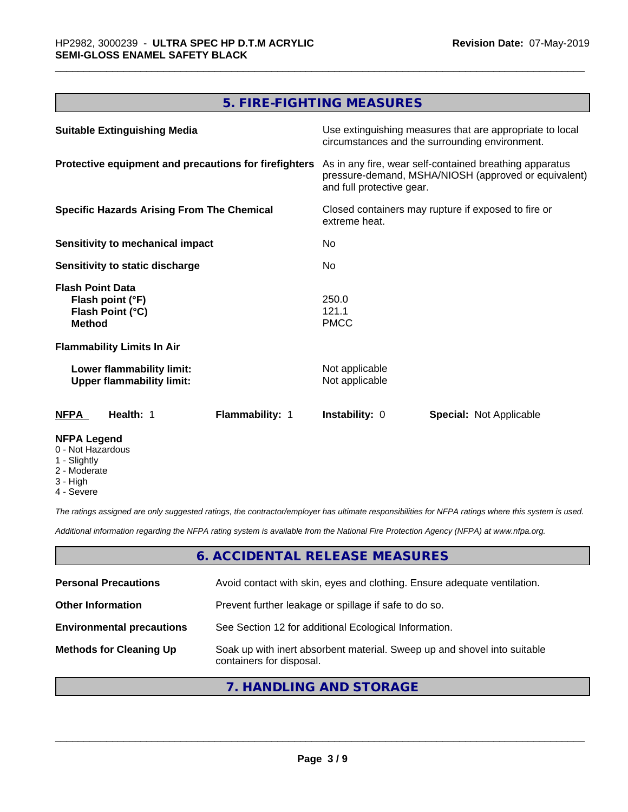### **5. FIRE-FIGHTING MEASURES**

| <b>Suitable Extinguishing Media</b>                                              | Use extinguishing measures that are appropriate to local<br>circumstances and the surrounding environment.                                   |
|----------------------------------------------------------------------------------|----------------------------------------------------------------------------------------------------------------------------------------------|
| Protective equipment and precautions for firefighters                            | As in any fire, wear self-contained breathing apparatus<br>pressure-demand, MSHA/NIOSH (approved or equivalent)<br>and full protective gear. |
| <b>Specific Hazards Arising From The Chemical</b>                                | Closed containers may rupture if exposed to fire or<br>extreme heat.                                                                         |
| Sensitivity to mechanical impact                                                 | No                                                                                                                                           |
| Sensitivity to static discharge                                                  | No.                                                                                                                                          |
| <b>Flash Point Data</b><br>Flash point (°F)<br>Flash Point (°C)<br><b>Method</b> | 250.0<br>121.1<br><b>PMCC</b>                                                                                                                |
| <b>Flammability Limits In Air</b>                                                |                                                                                                                                              |
| Lower flammability limit:<br><b>Upper flammability limit:</b>                    | Not applicable<br>Not applicable                                                                                                             |
| Flammability: 1<br><b>NFPA</b><br>Health: 1                                      | <b>Instability: 0</b><br><b>Special: Not Applicable</b>                                                                                      |
| <b>NFPA Legend</b><br>0 - Not Hazardous<br>1 - Slightly                          |                                                                                                                                              |

- 2 Moderate
- 3 High
- 4 Severe

*The ratings assigned are only suggested ratings, the contractor/employer has ultimate responsibilities for NFPA ratings where this system is used.*

*Additional information regarding the NFPA rating system is available from the National Fire Protection Agency (NFPA) at www.nfpa.org.*

#### **6. ACCIDENTAL RELEASE MEASURES**

| <b>Personal Precautions</b>      | Avoid contact with skin, eyes and clothing. Ensure adequate ventilation.                             |
|----------------------------------|------------------------------------------------------------------------------------------------------|
| <b>Other Information</b>         | Prevent further leakage or spillage if safe to do so.                                                |
| <b>Environmental precautions</b> | See Section 12 for additional Ecological Information.                                                |
| <b>Methods for Cleaning Up</b>   | Soak up with inert absorbent material. Sweep up and shovel into suitable<br>containers for disposal. |

#### **7. HANDLING AND STORAGE**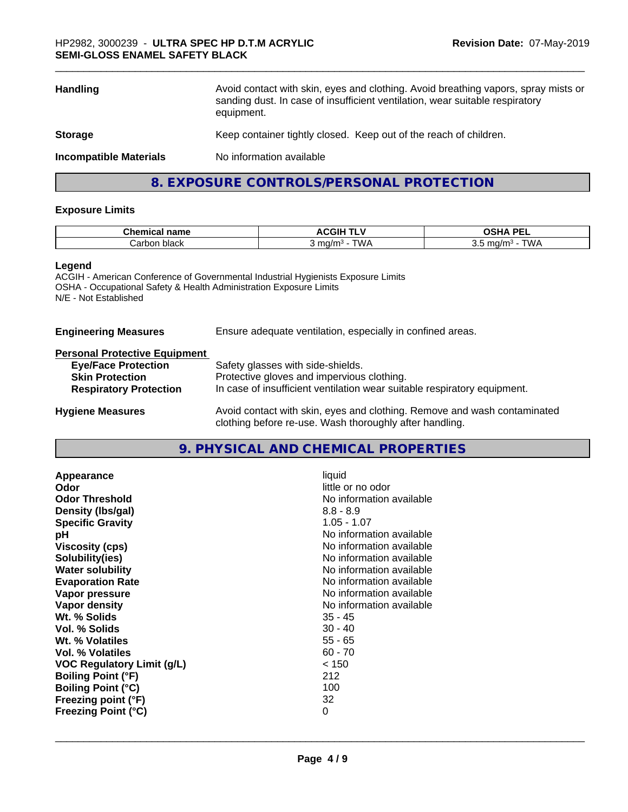| <b>Handling</b>               | Avoid contact with skin, eyes and clothing. Avoid breathing vapors, spray mists or<br>sanding dust. In case of insufficient ventilation, wear suitable respiratory<br>equipment. |
|-------------------------------|----------------------------------------------------------------------------------------------------------------------------------------------------------------------------------|
| <b>Storage</b>                | Keep container tightly closed. Keep out of the reach of children.                                                                                                                |
| <b>Incompatible Materials</b> | No information available                                                                                                                                                         |
|                               | 8. EXPOSURE CONTROLS/PERSONAL PROTECTION                                                                                                                                         |

#### **Exposure Limits**

| ^'<br>≅emica⊾<br>name | ∴CGIH ⊺<br>…                  | $\Lambda$ DF.                              |
|-----------------------|-------------------------------|--------------------------------------------|
| ≞black<br>' Carbon.   | ∆/\/⊤<br>mq/m<br>. <b>. .</b> | TWA<br>ma/m3<br>◡.◡<br>. <b>. .</b><br>. . |

#### **Legend**

ACGIH - American Conference of Governmental Industrial Hygienists Exposure Limits OSHA - Occupational Safety & Health Administration Exposure Limits N/E - Not Established

| <b>Engineering Measures</b> | Ensure adequate ventilation, especially in confined areas. |
|-----------------------------|------------------------------------------------------------|
|                             |                                                            |

#### **Personal Protective Equipment**

| <b>Eye/Face Protection</b>    | Safety glasses with side-shields.                                        |
|-------------------------------|--------------------------------------------------------------------------|
| <b>Skin Protection</b>        | Protective gloves and impervious clothing.                               |
| <b>Respiratory Protection</b> | In case of insufficient ventilation wear suitable respiratory equipment. |
| <b>Hygiene Measures</b>       | Avoid contact with skin, eyes and clothing. Remove and wash contaminated |

## **9. PHYSICAL AND CHEMICAL PROPERTIES**

clothing before re-use. Wash thoroughly after handling.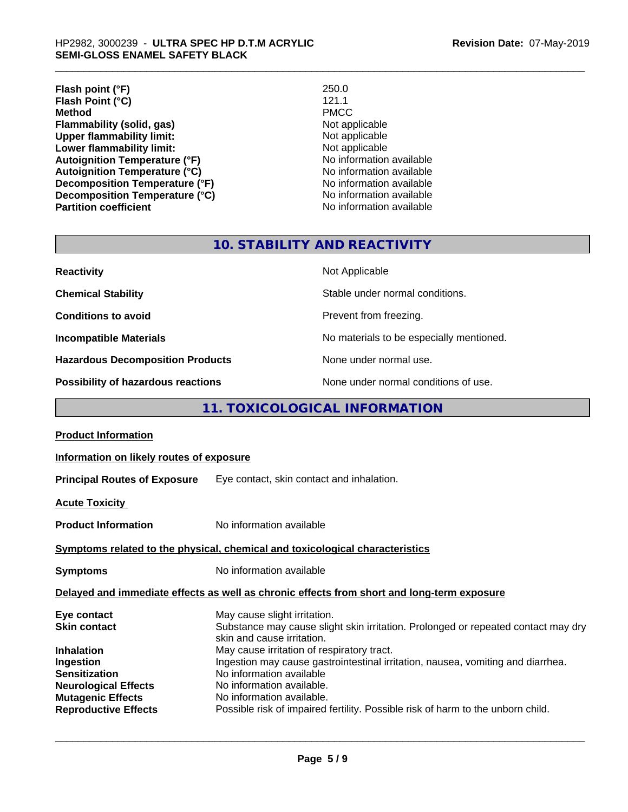**Flash point (°F)** 250.0 **Flash Point (°C)** 121.1 **Method** PMCC **Flammability (solid, gas)**<br> **Commability limit:**<br>
Upper flammability limit:<br>
Not applicable **Upper flammability limit:**<br> **Lower flammability limit:**<br>
Not applicable<br>
Not applicable **Lower flammability limit:**<br> **Autoianition Temperature (°F)**<br>
Mo information available **Autoignition Temperature (°F)**<br> **Autoignition Temperature (°C)** No information available **Autoignition Temperature (°C)**<br> **Decomposition Temperature (°F)** No information available **Decomposition Temperature (°F) Decomposition Temperature (°C)** No information available

**No information available** 

#### **10. STABILITY AND REACTIVITY**

| <b>Reactivity</b>                       | Not Applicable                           |
|-----------------------------------------|------------------------------------------|
| <b>Chemical Stability</b>               | Stable under normal conditions.          |
| <b>Conditions to avoid</b>              | Prevent from freezing.                   |
| <b>Incompatible Materials</b>           | No materials to be especially mentioned. |
| <b>Hazardous Decomposition Products</b> | None under normal use.                   |
| Possibility of hazardous reactions      | None under normal conditions of use.     |

### **11. TOXICOLOGICAL INFORMATION**

| Delayed and immediate effects as well as chronic effects from short and long-term exposure |  |  |
|--------------------------------------------------------------------------------------------|--|--|
|                                                                                            |  |  |
|                                                                                            |  |  |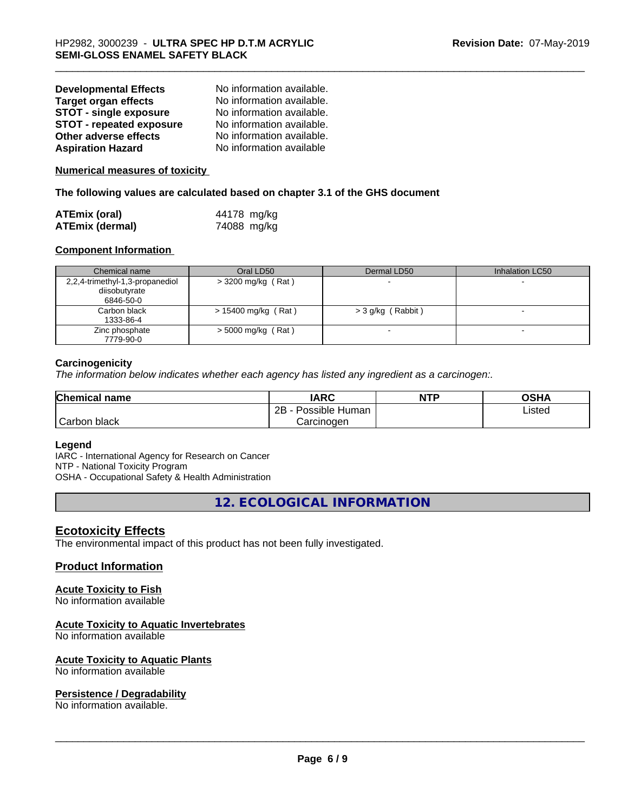| <b>Developmental Effects</b>    | No information available. |
|---------------------------------|---------------------------|
| <b>Target organ effects</b>     | No information available. |
| STOT - single exposure          | No information available. |
| <b>STOT - repeated exposure</b> | No information available. |
| Other adverse effects           | No information available. |
| <b>Aspiration Hazard</b>        | No information available  |

#### **Numerical measures of toxicity**

**The following values are calculated based on chapter 3.1 of the GHS document**

| <b>ATEmix (oral)</b> |  | 44178 mg/kg |  |
|----------------------|--|-------------|--|
| ATEmix (dermal)      |  | 74088 mg/kg |  |

#### **Component Information**

| Chemical name                                                 | Oral LD50            | Dermal LD50       | Inhalation LC50 |
|---------------------------------------------------------------|----------------------|-------------------|-----------------|
| 2,2,4-trimethyl-1,3-propanediol<br>diisobutyrate<br>6846-50-0 | $>$ 3200 mg/kg (Rat) |                   |                 |
| Carbon black<br>1333-86-4                                     | > 15400 mg/kg (Rat)  | > 3 g/kg (Rabbit) |                 |
| Zinc phosphate<br>7779-90-0                                   | $>$ 5000 mg/kg (Rat) |                   |                 |

#### **Carcinogenicity**

*The information below indicateswhether each agency has listed any ingredient as a carcinogen:.*

| <b>Chemical name</b> | <b>IARC</b>          | <b>NTP</b> | <b>OSHA</b> |  |
|----------------------|----------------------|------------|-------------|--|
|                      | 2B<br>Possible Human |            | Listed      |  |
| Carbon<br>black      | Carcinogen           |            |             |  |

#### **Legend**

IARC - International Agency for Research on Cancer NTP - National Toxicity Program OSHA - Occupational Safety & Health Administration

**12. ECOLOGICAL INFORMATION**

#### **Ecotoxicity Effects**

The environmental impact of this product has not been fully investigated.

#### **Product Information**

#### **Acute Toxicity to Fish**

No information available

#### **Acute Toxicity to Aquatic Invertebrates**

No information available

#### **Acute Toxicity to Aquatic Plants**

No information available

#### **Persistence / Degradability**

No information available.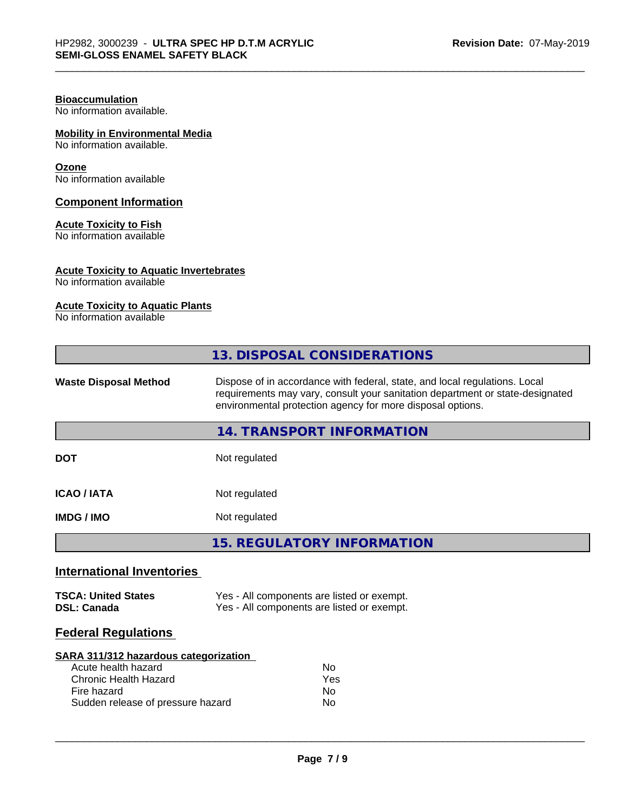#### **Bioaccumulation**

No information available.

#### **Mobility in Environmental Media**

No information available.

#### **Ozone**

No information available

#### **Component Information**

#### **Acute Toxicity to Fish**

No information available

#### **Acute Toxicity to Aquatic Invertebrates**

No information available

#### **Acute Toxicity to Aquatic Plants**

No information available

|                                                                                                                                                  | 13. DISPOSAL CONSIDERATIONS                                                                                                                                                                                               |  |  |
|--------------------------------------------------------------------------------------------------------------------------------------------------|---------------------------------------------------------------------------------------------------------------------------------------------------------------------------------------------------------------------------|--|--|
| <b>Waste Disposal Method</b>                                                                                                                     | Dispose of in accordance with federal, state, and local regulations. Local<br>requirements may vary, consult your sanitation department or state-designated<br>environmental protection agency for more disposal options. |  |  |
|                                                                                                                                                  | <b>14. TRANSPORT INFORMATION</b>                                                                                                                                                                                          |  |  |
| <b>DOT</b>                                                                                                                                       | Not regulated                                                                                                                                                                                                             |  |  |
| <b>ICAO/IATA</b>                                                                                                                                 | Not regulated                                                                                                                                                                                                             |  |  |
| <b>IMDG / IMO</b>                                                                                                                                | Not regulated                                                                                                                                                                                                             |  |  |
|                                                                                                                                                  | <b>15. REGULATORY INFORMATION</b>                                                                                                                                                                                         |  |  |
| <b>International Inventories</b>                                                                                                                 |                                                                                                                                                                                                                           |  |  |
| <b>TSCA: United States</b><br><b>DSL: Canada</b>                                                                                                 | Yes - All components are listed or exempt.<br>Yes - All components are listed or exempt.                                                                                                                                  |  |  |
| <b>Federal Regulations</b>                                                                                                                       |                                                                                                                                                                                                                           |  |  |
| SARA 311/312 hazardous categorization<br>Acute health hazard<br><b>Chronic Health Hazard</b><br>Fire hazard<br>Sudden release of pressure hazard | <b>No</b><br>Yes<br>No<br>No                                                                                                                                                                                              |  |  |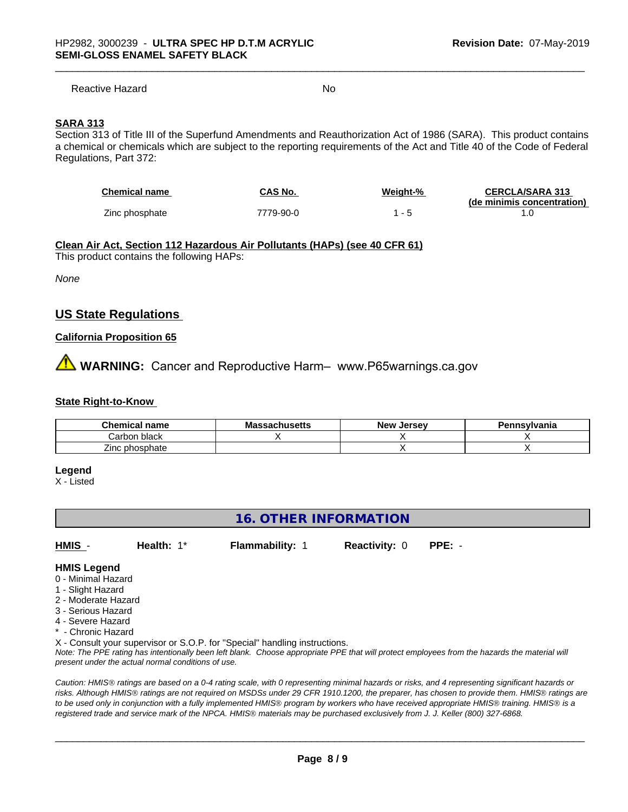Reactive Hazard No. No. 2014

#### **SARA 313**

Section 313 of Title III of the Superfund Amendments and Reauthorization Act of 1986 (SARA). This product contains a chemical or chemicals which are subject to the reporting requirements of the Act and Title 40 of the Code of Federal Regulations, Part 372:

| <b>Chemical name</b> | <b>CAS No.</b> | <b>Weight-%</b> | <b>CERCLA/SARA 313</b>     |
|----------------------|----------------|-----------------|----------------------------|
|                      |                |                 | (de minimis concentration) |
| Zinc phosphate       | 7779-90-0      |                 |                            |

#### **Clean Air Act,Section 112 Hazardous Air Pollutants (HAPs) (see 40 CFR 61)**

This product contains the following HAPs:

*None*

#### **US State Regulations**

#### **California Proposition 65**

**AVIMARNING:** Cancer and Reproductive Harm– www.P65warnings.ca.gov

#### **State Right-to-Know**

| Chemical<br>name          | Mass<br>sachusetts | . Jersev<br>Nev <sup>.</sup> | Pennsvlvania |
|---------------------------|--------------------|------------------------------|--------------|
| black<br>' arbon.         |                    |                              |              |
| --<br>: phosphate<br>∠inc |                    |                              |              |

#### **Legend**

X - Listed

#### **16. OTHER INFORMATION**

**HMIS** - **Health:** 1\* **Flammability:** 1 **Reactivity:** 0 **PPE:** -

#### **HMIS Legend**

- 0 Minimal Hazard
- 1 Slight Hazard
- 2 Moderate Hazard
- 3 Serious Hazard
- 4 Severe Hazard
- \* Chronic Hazard

X - Consult your supervisor or S.O.P. for "Special" handling instructions.

*Note: The PPE rating has intentionally been left blank. Choose appropriate PPE that will protect employees from the hazards the material will present under the actual normal conditions of use.*

*Caution: HMISÒ ratings are based on a 0-4 rating scale, with 0 representing minimal hazards or risks, and 4 representing significant hazards or risks. Although HMISÒ ratings are not required on MSDSs under 29 CFR 1910.1200, the preparer, has chosen to provide them. HMISÒ ratings are to be used only in conjunction with a fully implemented HMISÒ program by workers who have received appropriate HMISÒ training. HMISÒ is a registered trade and service mark of the NPCA. HMISÒ materials may be purchased exclusively from J. J. Keller (800) 327-6868.*